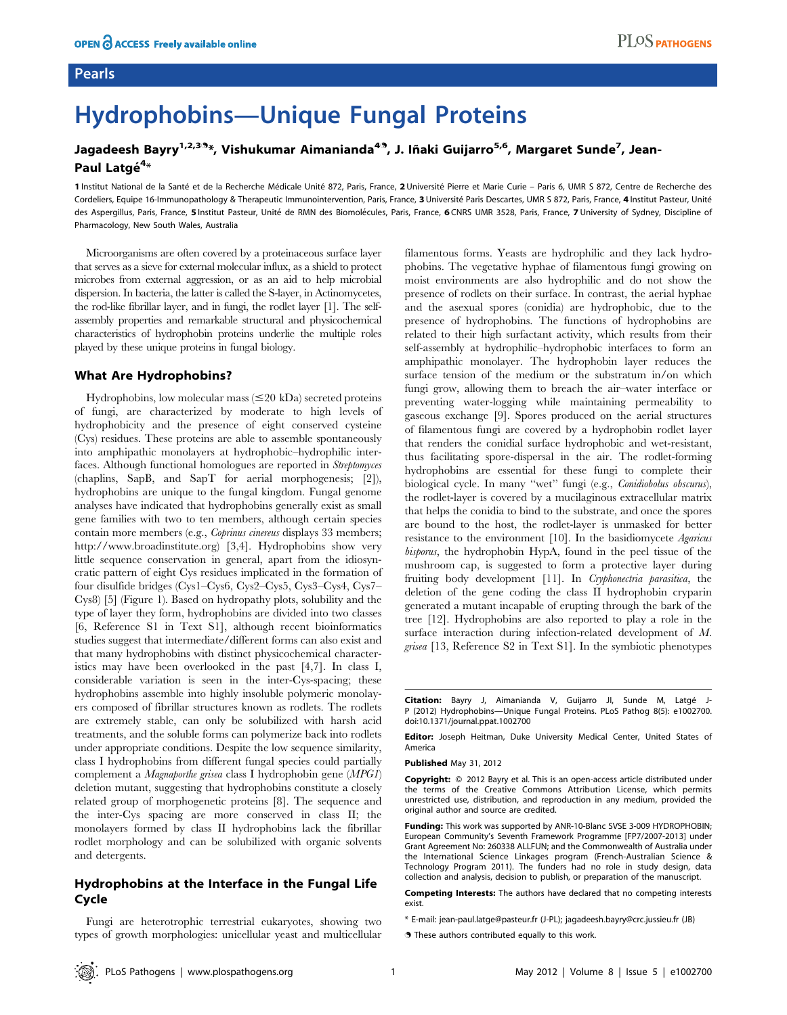# Hydrophobins—Unique Fungal Proteins

## Jagadeesh Bayry<sup>1,2,39</sup>\*, Vishukumar Aimanianda<sup>49</sup>, J. Iñaki Guijarro<sup>5,6</sup>, Margaret Sunde<sup>7</sup>, Jean-Paul Latgé<sup>4</sup>\*

1 Institut National de la Santé et de la Recherche Médicale Unité 872, Paris, France, 2 Université Pierre et Marie Curie – Paris 6, UMR S 872, Centre de Recherche des Cordeliers, Equipe 16-Immunopathology & Therapeutic Immunointervention, Paris, France, 3 Université Paris Descartes, UMR S 872, Paris, France, 4 Institut Pasteur, Unité des Aspergillus, Paris, France, 5 Institut Pasteur, Unité de RMN des Biomolécules, Paris, France, 6 CNRS UMR 3528, Paris, France, 7 University of Sydney, Discipline of Pharmacology, New South Wales, Australia

Microorganisms are often covered by a proteinaceous surface layer that serves as a sieve for external molecular influx, as a shield to protect microbes from external aggression, or as an aid to help microbial dispersion. In bacteria, the latter is called the S-layer, in Actinomycetes, the rod-like fibrillar layer, and in fungi, the rodlet layer [1]. The selfassembly properties and remarkable structural and physicochemical characteristics of hydrophobin proteins underlie the multiple roles played by these unique proteins in fungal biology.

#### What Are Hydrophobins?

Hydrophobins, low molecular mass  $(\leq 20 \text{ kDa})$  secreted proteins of fungi, are characterized by moderate to high levels of hydrophobicity and the presence of eight conserved cysteine (Cys) residues. These proteins are able to assemble spontaneously into amphipathic monolayers at hydrophobic–hydrophilic interfaces. Although functional homologues are reported in Streptomyces (chaplins, SapB, and SapT for aerial morphogenesis; [2]), hydrophobins are unique to the fungal kingdom. Fungal genome analyses have indicated that hydrophobins generally exist as small gene families with two to ten members, although certain species contain more members (e.g., Coprinus cinereus displays 33 members; http://www.broadinstitute.org) [3,4]. Hydrophobins show very little sequence conservation in general, apart from the idiosyncratic pattern of eight Cys residues implicated in the formation of four disulfide bridges (Cys1–Cys6, Cys2–Cys5, Cys3–Cys4, Cys7– Cys8) [5] (Figure 1). Based on hydropathy plots, solubility and the type of layer they form, hydrophobins are divided into two classes [6, Reference S1 in Text S1], although recent bioinformatics studies suggest that intermediate/different forms can also exist and that many hydrophobins with distinct physicochemical characteristics may have been overlooked in the past [4,7]. In class I, considerable variation is seen in the inter-Cys-spacing; these hydrophobins assemble into highly insoluble polymeric monolayers composed of fibrillar structures known as rodlets. The rodlets are extremely stable, can only be solubilized with harsh acid treatments, and the soluble forms can polymerize back into rodlets under appropriate conditions. Despite the low sequence similarity, class I hydrophobins from different fungal species could partially complement a Magnaporthe grisea class I hydrophobin gene (MPG1) deletion mutant, suggesting that hydrophobins constitute a closely related group of morphogenetic proteins [8]. The sequence and the inter-Cys spacing are more conserved in class II; the monolayers formed by class II hydrophobins lack the fibrillar rodlet morphology and can be solubilized with organic solvents and detergents.

### Hydrophobins at the Interface in the Fungal Life Cycle

Fungi are heterotrophic terrestrial eukaryotes, showing two types of growth morphologies: unicellular yeast and multicellular filamentous forms. Yeasts are hydrophilic and they lack hydrophobins. The vegetative hyphae of filamentous fungi growing on moist environments are also hydrophilic and do not show the presence of rodlets on their surface. In contrast, the aerial hyphae and the asexual spores (conidia) are hydrophobic, due to the presence of hydrophobins. The functions of hydrophobins are related to their high surfactant activity, which results from their self-assembly at hydrophilic–hydrophobic interfaces to form an amphipathic monolayer. The hydrophobin layer reduces the surface tension of the medium or the substratum in/on which fungi grow, allowing them to breach the air–water interface or preventing water-logging while maintaining permeability to gaseous exchange [9]. Spores produced on the aerial structures of filamentous fungi are covered by a hydrophobin rodlet layer that renders the conidial surface hydrophobic and wet-resistant, thus facilitating spore-dispersal in the air. The rodlet-forming hydrophobins are essential for these fungi to complete their biological cycle. In many ''wet'' fungi (e.g., Conidiobolus obscurus), the rodlet-layer is covered by a mucilaginous extracellular matrix that helps the conidia to bind to the substrate, and once the spores are bound to the host, the rodlet-layer is unmasked for better resistance to the environment [10]. In the basidiomycete Agaricus bisporus, the hydrophobin HypA, found in the peel tissue of the mushroom cap, is suggested to form a protective layer during fruiting body development [11]. In Cryphonectria parasitica, the deletion of the gene coding the class II hydrophobin cryparin generated a mutant incapable of erupting through the bark of the tree [12]. Hydrophobins are also reported to play a role in the surface interaction during infection-related development of M. grisea [13, Reference S2 in Text S1]. In the symbiotic phenotypes

PLOS PATHOGENS

Editor: Joseph Heitman, Duke University Medical Center, United States of America

Published May 31, 2012

Copyright: © 2012 Bayry et al. This is an open-access article distributed under the terms of the Creative Commons Attribution License, which permits unrestricted use, distribution, and reproduction in any medium, provided the original author and source are credited.

Funding: This work was supported by ANR-10-Blanc SVSE 3-009 HYDROPHOBIN; European Community's Seventh Framework Programme [FP7/2007-2013] under Grant Agreement No: 260338 ALLFUN; and the Commonwealth of Australia under the International Science Linkages program (French-Australian Science & Technology Program 2011). The funders had no role in study design, data collection and analysis, decision to publish, or preparation of the manuscript.

Competing Interests: The authors have declared that no competing interests exist.

- \* E-mail: jean-paul.latge@pasteur.fr (J-PL); jagadeesh.bayry@crc.jussieu.fr (JB)
- . These authors contributed equally to this work.

Citation: Bayry J, Aimanianda V, Guijarro JI, Sunde M, Latgé J-P (2012) Hydrophobins—Unique Fungal Proteins. PLoS Pathog 8(5): e1002700. doi:10.1371/journal.ppat.1002700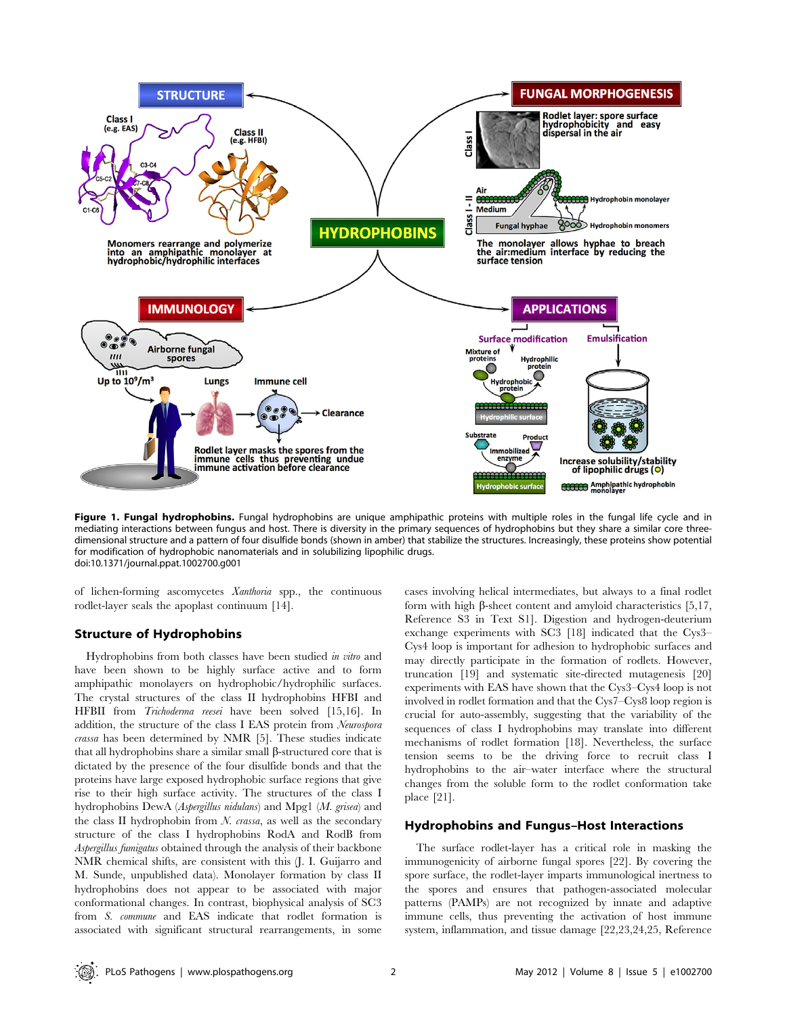

Figure 1. Fungal hydrophobins. Fungal hydrophobins are unique amphipathic proteins with multiple roles in the fungal life cycle and in mediating interactions between fungus and host. There is diversity in the primary sequences of hydrophobins but they share a similar core threedimensional structure and a pattern of four disulfide bonds (shown in amber) that stabilize the structures. Increasingly, these proteins show potential for modification of hydrophobic nanomaterials and in solubilizing lipophilic drugs. doi:10.1371/journal.ppat.1002700.g001

of lichen-forming ascomycetes Xanthoria spp., the continuous rodlet-layer seals the apoplast continuum [14].

#### Structure of Hydrophobins

Hydrophobins from both classes have been studied in vitro and have been shown to be highly surface active and to form amphipathic monolayers on hydrophobic/hydrophilic surfaces. The crystal structures of the class II hydrophobins HFBI and HFBII from Trichoderma reesei have been solved [15,16]. In addition, the structure of the class I EAS protein from Neurospora crassa has been determined by NMR [5]. These studies indicate that all hydrophobins share a similar small  $\beta$ -structured core that is dictated by the presence of the four disulfide bonds and that the proteins have large exposed hydrophobic surface regions that give rise to their high surface activity. The structures of the class I hydrophobins DewA (Aspergillus nidulans) and Mpg1 (M. grisea) and the class II hydrophobin from  $N$ . *crassa*, as well as the secondary structure of the class I hydrophobins RodA and RodB from Aspergillus fumigatus obtained through the analysis of their backbone NMR chemical shifts, are consistent with this (J. I. Guijarro and M. Sunde, unpublished data). Monolayer formation by class II hydrophobins does not appear to be associated with major conformational changes. In contrast, biophysical analysis of SC3 from S. commune and EAS indicate that rodlet formation is associated with significant structural rearrangements, in some

cases involving helical intermediates, but always to a final rodlet form with high  $\beta$ -sheet content and amyloid characteristics [5,17, Reference S3 in Text S1]. Digestion and hydrogen-deuterium exchange experiments with SC3 [18] indicated that the Cys3– Cys4 loop is important for adhesion to hydrophobic surfaces and may directly participate in the formation of rodlets. However, truncation [19] and systematic site-directed mutagenesis [20] experiments with EAS have shown that the Cys3–Cys4 loop is not involved in rodlet formation and that the Cys7–Cys8 loop region is crucial for auto-assembly, suggesting that the variability of the sequences of class I hydrophobins may translate into different mechanisms of rodlet formation [18]. Nevertheless, the surface tension seems to be the driving force to recruit class I hydrophobins to the air–water interface where the structural changes from the soluble form to the rodlet conformation take place [21].

#### Hydrophobins and Fungus–Host Interactions

The surface rodlet-layer has a critical role in masking the immunogenicity of airborne fungal spores [22]. By covering the spore surface, the rodlet-layer imparts immunological inertness to the spores and ensures that pathogen-associated molecular patterns (PAMPs) are not recognized by innate and adaptive immune cells, thus preventing the activation of host immune system, inflammation, and tissue damage [22,23,24,25, Reference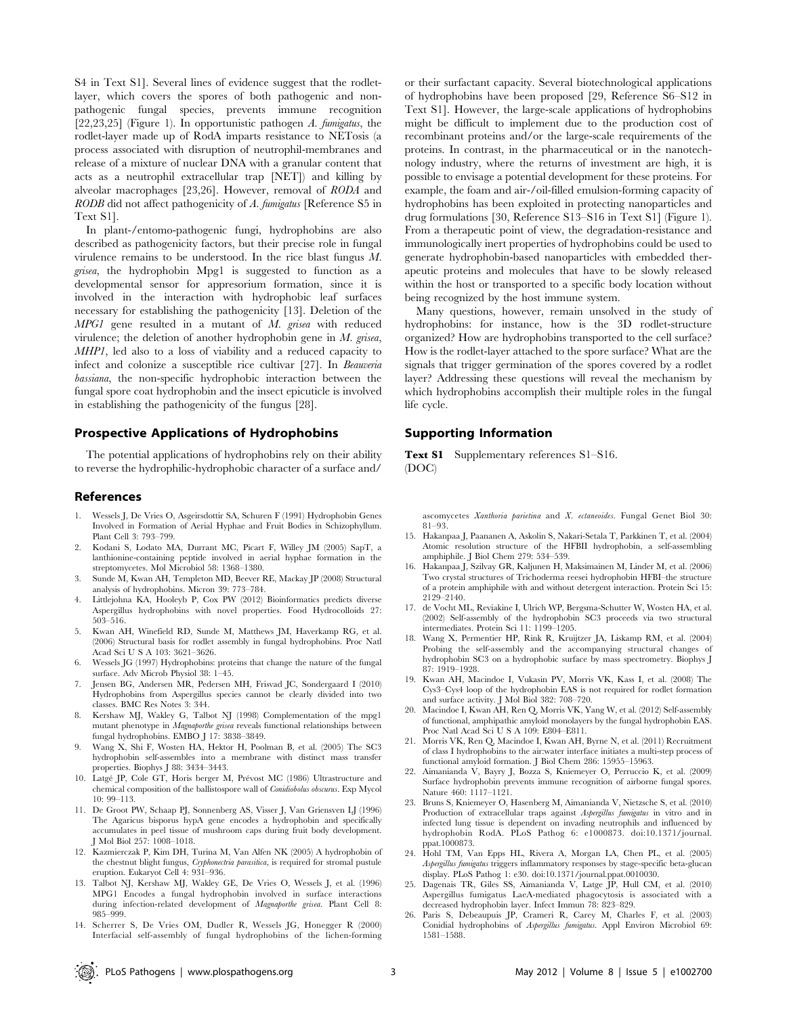S4 in Text S1]. Several lines of evidence suggest that the rodletlayer, which covers the spores of both pathogenic and nonpathogenic fungal species, prevents immune recognition [22,23,25] (Figure 1). In opportunistic pathogen A. fumigatus, the rodlet-layer made up of RodA imparts resistance to NETosis (a process associated with disruption of neutrophil-membranes and release of a mixture of nuclear DNA with a granular content that acts as a neutrophil extracellular trap [NET]) and killing by alveolar macrophages [23,26]. However, removal of RODA and RODB did not affect pathogenicity of A. fumigatus [Reference S5 in Text S1].

In plant-/entomo-pathogenic fungi, hydrophobins are also described as pathogenicity factors, but their precise role in fungal virulence remains to be understood. In the rice blast fungus M. grisea, the hydrophobin Mpg1 is suggested to function as a developmental sensor for appresorium formation, since it is involved in the interaction with hydrophobic leaf surfaces necessary for establishing the pathogenicity [13]. Deletion of the MPG1 gene resulted in a mutant of M. grisea with reduced virulence; the deletion of another hydrophobin gene in M. grisea, MHP1, led also to a loss of viability and a reduced capacity to infect and colonize a susceptible rice cultivar [27]. In Beauveria bassiana, the non-specific hydrophobic interaction between the fungal spore coat hydrophobin and the insect epicuticle is involved in establishing the pathogenicity of the fungus [28].

#### Prospective Applications of Hydrophobins

The potential applications of hydrophobins rely on their ability to reverse the hydrophilic-hydrophobic character of a surface and/

#### References

- 1. Wessels J, De Vries O, Asgeirsdottir SA, Schuren F (1991) Hydrophobin Genes Involved in Formation of Aerial Hyphae and Fruit Bodies in Schizophyllum. Plant Cell 3: 793–799.
- 2. Kodani S, Lodato MA, Durrant MC, Picart F, Willey JM (2005) SapT, a lanthionine-containing peptide involved in aerial hyphae formation in the streptomycetes. Mol Microbiol 58: 1368–1380.
- Sunde M, Kwan AH, Templeton MD, Beever RE, Mackay JP (2008) Structural analysis of hydrophobins. Micron 39: 773–784.
- 4. Littlejohna KA, Hooleyb P, Cox PW (2012) Bioinformatics predicts diverse Aspergillus hydrophobins with novel properties. Food Hydrocolloids 27: 503–516.
- 5. Kwan AH, Winefield RD, Sunde M, Matthews JM, Haverkamp RG, et al. (2006) Structural basis for rodlet assembly in fungal hydrophobins. Proc Natl Acad Sci U S A 103: 3621–3626.
- 6. Wessels JG (1997) Hydrophobins: proteins that change the nature of the fungal surface. Adv Microb Physiol 38: 1–45.
- 7. Jensen BG, Andersen MR, Pedersen MH, Frisvad JC, Sondergaard I (2010) Hydrophobins from Aspergillus species cannot be clearly divided into two classes. BMC Res Notes 3: 344.
- 8. Kershaw MJ, Wakley G, Talbot NJ (1998) Complementation of the mpg1 mutant phenotype in Magnaporthe grisea reveals functional relationships between fungal hydrophobins. EMBO J 17: 3838–3849.
- 9. Wang X, Shi F, Wosten HA, Hektor H, Poolman B, et al. (2005) The SC3 hydrophobin self-assembles into a membrane with distinct mass transfer properties. Biophys J 88: 3434–3443.
- 10. Latgé JP, Cole GT, Horis berger M, Prévost MC (1986) Ultrastructure and chemical composition of the ballistospore wall of Conidiobolus obscurus. Exp Mycol 10: 99–113.
- 11. De Groot PW, Schaap PJ, Sonnenberg AS, Visser J, Van Griensven LJ (1996) The Agaricus bisporus hypA gene encodes a hydrophobin and specifically accumulates in peel tissue of mushroom caps during fruit body development. J Mol Biol 257: 1008–1018.
- 12. Kazmierczak P, Kim DH, Turina M, Van Alfen NK (2005) A hydrophobin of the chestnut blight fungus, Cryphonectria parasitica, is required for stromal pustule eruption. Eukaryot Cell 4: 931–936.
- 13. Talbot NJ, Kershaw MJ, Wakley GE, De Vries O, Wessels J, et al. (1996) MPG1 Encodes a fungal hydrophobin involved in surface interactions during infection-related development of Magnaporthe grisea. Plant Cell 8: 985–999.
- 14. Scherrer S, De Vries OM, Dudler R, Wessels JG, Honegger R (2000) Interfacial self-assembly of fungal hydrophobins of the lichen-forming

or their surfactant capacity. Several biotechnological applications of hydrophobins have been proposed [29, Reference S6–S12 in Text S1]. However, the large-scale applications of hydrophobins might be difficult to implement due to the production cost of recombinant proteins and/or the large-scale requirements of the proteins. In contrast, in the pharmaceutical or in the nanotechnology industry, where the returns of investment are high, it is possible to envisage a potential development for these proteins. For example, the foam and air-/oil-filled emulsion-forming capacity of hydrophobins has been exploited in protecting nanoparticles and drug formulations [30, Reference S13–S16 in Text S1] (Figure 1). From a therapeutic point of view, the degradation-resistance and immunologically inert properties of hydrophobins could be used to generate hydrophobin-based nanoparticles with embedded therapeutic proteins and molecules that have to be slowly released within the host or transported to a specific body location without being recognized by the host immune system.

Many questions, however, remain unsolved in the study of hydrophobins: for instance, how is the 3D rodlet-structure organized? How are hydrophobins transported to the cell surface? How is the rodlet-layer attached to the spore surface? What are the signals that trigger germination of the spores covered by a rodlet layer? Addressing these questions will reveal the mechanism by which hydrophobins accomplish their multiple roles in the fungal life cycle.

#### Supporting Information

Text S1 Supplementary references S1–S16. (DOC)

ascomycetes Xanthoria parietina and X. ectaneoides. Fungal Genet Biol 30: 81–93.

- 15. Hakanpaa J, Paananen A, Askolin S, Nakari-Setala T, Parkkinen T, et al. (2004) Atomic resolution structure of the HFBII hydrophobin, a self-assembling amphiphile. J Biol Chem 279: 534–539.
- 16. Hakanpaa J, Szilvay GR, Kaljunen H, Maksimainen M, Linder M, et al. (2006) Two crystal structures of Trichoderma reesei hydrophobin HFBI–the structure of a protein amphiphile with and without detergent interaction. Protein Sci 15: 2129–2140.
- 17. de Vocht ML, Reviakine I, Ulrich WP, Bergsma-Schutter W, Wosten HA, et al. (2002) Self-assembly of the hydrophobin SC3 proceeds via two structural intermediates. Protein Sci 11: 1199–1205.
- 18. Wang X, Permentier HP, Rink R, Kruijtzer JA, Liskamp RM, et al. (2004) Probing the self-assembly and the accompanying structural changes of hydrophobin SC3 on a hydrophobic surface by mass spectrometry. Biophys J 87: 1919–1928.
- 19. Kwan AH, Macindoe I, Vukasin PV, Morris VK, Kass I, et al. (2008) The Cys3–Cys4 loop of the hydrophobin EAS is not required for rodlet formation and surface activity. J Mol Biol 382: 708–720.
- 20. Macindoe I, Kwan AH, Ren Q, Morris VK, Yang W, et al. (2012) Self-assembly of functional, amphipathic amyloid monolayers by the fungal hydrophobin EAS. Proc Natl Acad Sci U S A 109: E804–E811.
- 21. Morris VK, Ren Q, Macindoe I, Kwan AH, Byrne N, et al. (2011) Recruitment of class I hydrophobins to the air:water interface initiates a multi-step process of functional amyloid formation. J Biol Chem 286: 15955–15963.
- 22. Aimanianda V, Bayry J, Bozza S, Kniemeyer O, Perruccio K, et al. (2009) Surface hydrophobin prevents immune recognition of airborne fungal spores. Nature 460: 1117-1121.
- 23. Bruns S, Kniemeyer O, Hasenberg M, Aimanianda V, Nietzsche S, et al. (2010) Production of extracellular traps against Aspergillus fumigatus in vitro and in infected lung tissue is dependent on invading neutrophils and influenced by hydrophobin RodA. PLoS Pathog 6: e1000873. doi:10.1371/journal. ppat.1000873.
- 24. Hohl TM, Van Epps HL, Rivera A, Morgan LA, Chen PL, et al. (2005) Aspergillus fumigatus triggers inflammatory responses by stage-specific beta-glucan
- display. PLoS Pathog 1: e30. doi:10.1371/journal.ppat.0010030. 25. Dagenais TR, Giles SS, Aimanianda V, Latge JP, Hull CM, et al. (2010) Aspergillus fumigatus LaeA-mediated phagocytosis is associated with a decreased hydrophobin layer. Infect Immun 78: 823–829.
- 26. Paris S, Debeaupuis JP, Crameri R, Carey M, Charles F, et al. (2003) Conidial hydrophobins of Aspergillus fumigatus. Appl Environ Microbiol 69: 1581–1588.